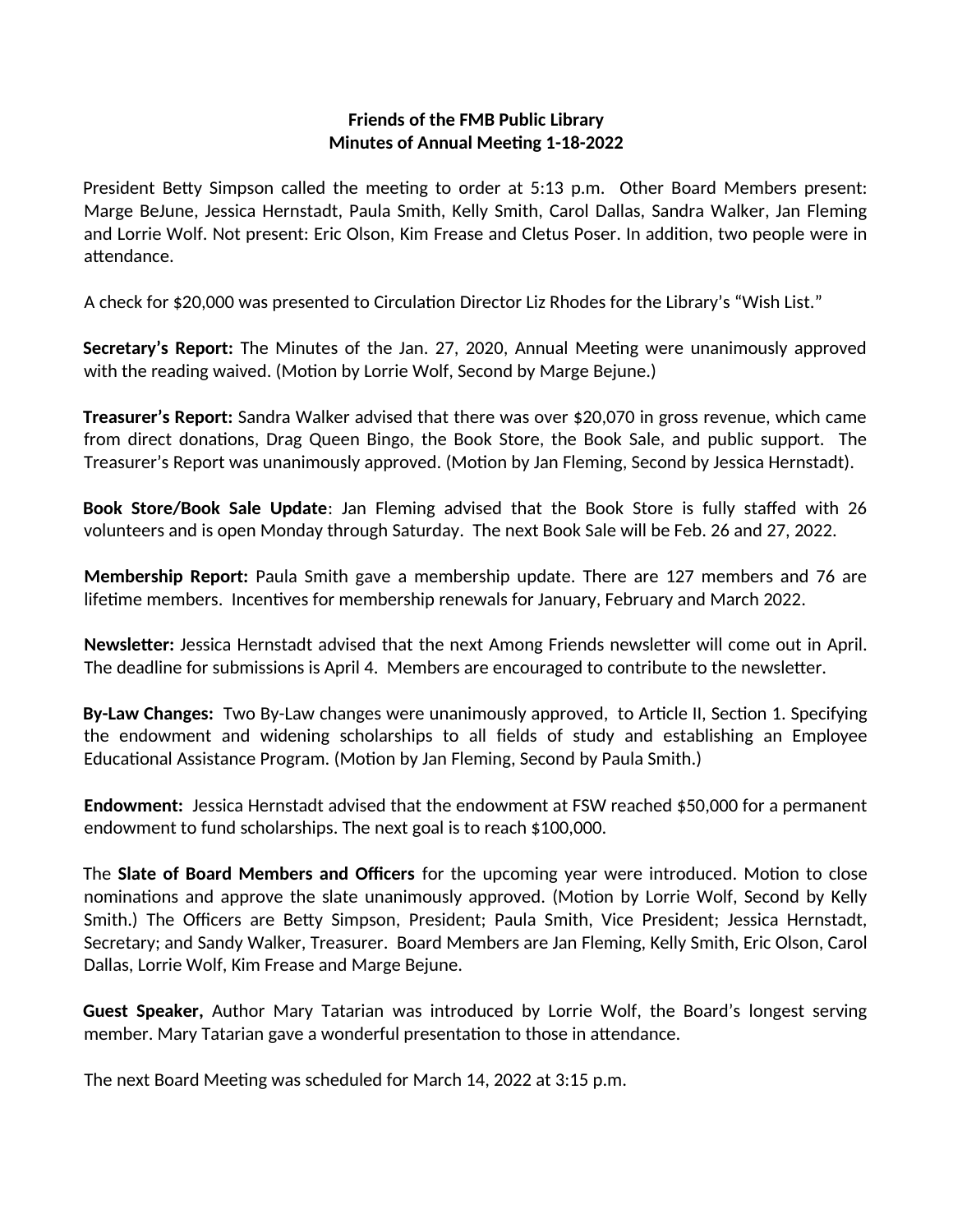## **Friends of the FMB Public Library Minutes of Annual Meeting 1-18-2022**

President Betty Simpson called the meeting to order at 5:13 p.m. Other Board Members present: Marge BeJune, Jessica Hernstadt, Paula Smith, Kelly Smith, Carol Dallas, Sandra Walker, Jan Fleming and Lorrie Wolf. Not present: Eric Olson, Kim Frease and Cletus Poser. In addition, two people were in attendance.

A check for \$20,000 was presented to Circulation Director Liz Rhodes for the Library's "Wish List."

**Secretary's Report:** The Minutes of the Jan. 27, 2020, Annual Meeting were unanimously approved with the reading waived. (Motion by Lorrie Wolf, Second by Marge Bejune.)

**Treasurer's Report:** Sandra Walker advised that there was over \$20,070 in gross revenue, which came from direct donations, Drag Queen Bingo, the Book Store, the Book Sale, and public support. The Treasurer's Report was unanimously approved. (Motion by Jan Fleming, Second by Jessica Hernstadt).

**Book Store/Book Sale Update**: Jan Fleming advised that the Book Store is fully staffed with 26 volunteers and is open Monday through Saturday. The next Book Sale will be Feb. 26 and 27, 2022.

**Membership Report:** Paula Smith gave a membership update. There are 127 members and 76 are lifetime members. Incentives for membership renewals for January, February and March 2022.

**Newsletter:** Jessica Hernstadt advised that the next Among Friends newsletter will come out in April. The deadline for submissions is April 4. Members are encouraged to contribute to the newsletter.

**By-Law Changes:** Two By-Law changes were unanimously approved, to Article II, Section 1. Specifying the endowment and widening scholarships to all fields of study and establishing an Employee Educational Assistance Program. (Motion by Jan Fleming, Second by Paula Smith.)

**Endowment:** Jessica Hernstadt advised that the endowment at FSW reached \$50,000 for a permanent endowment to fund scholarships. The next goal is to reach \$100,000.

The **Slate of Board Members and Officers** for the upcoming year were introduced. Motion to close nominations and approve the slate unanimously approved. (Motion by Lorrie Wolf, Second by Kelly Smith.) The Officers are Betty Simpson, President; Paula Smith, Vice President; Jessica Hernstadt, Secretary; and Sandy Walker, Treasurer. Board Members are Jan Fleming, Kelly Smith, Eric Olson, Carol Dallas, Lorrie Wolf, Kim Frease and Marge Bejune.

**Guest Speaker,** Author Mary Tatarian was introduced by Lorrie Wolf, the Board's longest serving member. Mary Tatarian gave a wonderful presentation to those in attendance.

The next Board Meeting was scheduled for March 14, 2022 at 3:15 p.m.